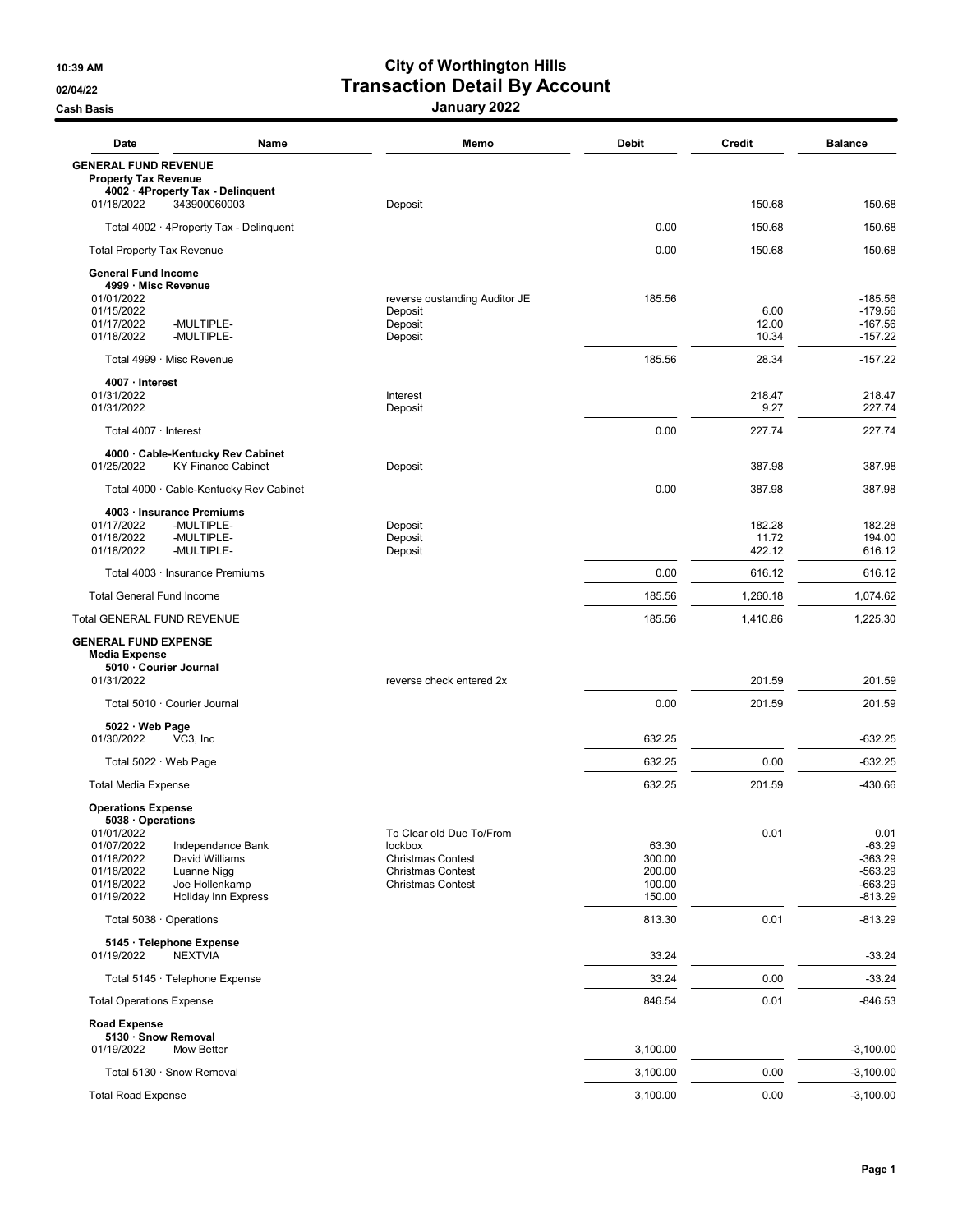## 10:39 AM City of Worthington Hills 02/04/22 **Transaction Detail By Account** <u>Cash Basis</u> Cash Basis **January 2022**

| Date                                                                                                              | Name                                                       | Memo                                                                                                                    | <b>Debit</b>                                  | <b>Credit</b>          | <b>Balance</b>                                                       |
|-------------------------------------------------------------------------------------------------------------------|------------------------------------------------------------|-------------------------------------------------------------------------------------------------------------------------|-----------------------------------------------|------------------------|----------------------------------------------------------------------|
| <b>GENERAL FUND REVENUE</b><br><b>Property Tax Revenue</b>                                                        |                                                            |                                                                                                                         |                                               |                        |                                                                      |
| 4002 · 4Property Tax - Delinquent<br>01/18/2022<br>343900060003                                                   |                                                            | Deposit                                                                                                                 |                                               | 150.68                 | 150.68                                                               |
| Total 4002 · 4Property Tax - Delinquent                                                                           |                                                            |                                                                                                                         | 0.00                                          | 150.68                 | 150.68                                                               |
| <b>Total Property Tax Revenue</b>                                                                                 |                                                            |                                                                                                                         | 0.00                                          | 150.68                 | 150.68                                                               |
| <b>General Fund Income</b>                                                                                        |                                                            |                                                                                                                         |                                               |                        |                                                                      |
| 4999 · Misc Revenue<br>01/01/2022<br>01/15/2022<br>01/17/2022<br>-MULTIPLE-<br>01/18/2022<br>-MULTIPLE-           |                                                            | reverse oustanding Auditor JE<br>Deposit<br>Deposit<br>Deposit                                                          | 185.56                                        | 6.00<br>12.00<br>10.34 | $-185.56$<br>$-179.56$<br>$-167.56$<br>$-157.22$                     |
| Total 4999 · Misc Revenue                                                                                         |                                                            |                                                                                                                         | 185.56                                        | 28.34                  | -157.22                                                              |
| 4007 · Interest                                                                                                   |                                                            |                                                                                                                         |                                               |                        |                                                                      |
| 01/31/2022<br>01/31/2022                                                                                          |                                                            | Interest<br>Deposit                                                                                                     |                                               | 218.47<br>9.27         | 218.47<br>227.74                                                     |
| Total 4007 · Interest                                                                                             |                                                            |                                                                                                                         | 0.00                                          | 227.74                 | 227.74                                                               |
| 4000 Cable-Kentucky Rev Cabinet<br>01/25/2022                                                                     | <b>KY Finance Cabinet</b>                                  | Deposit                                                                                                                 |                                               | 387.98                 | 387.98                                                               |
| Total 4000 · Cable-Kentucky Rev Cabinet                                                                           |                                                            |                                                                                                                         | 0.00                                          | 387.98                 | 387.98                                                               |
| 4003 · Insurance Premiums                                                                                         |                                                            |                                                                                                                         |                                               |                        |                                                                      |
| 01/17/2022<br>-MULTIPLE-                                                                                          |                                                            | Deposit                                                                                                                 |                                               | 182.28                 | 182.28                                                               |
| 01/18/2022<br>-MULTIPLE-<br>01/18/2022<br>-MULTIPLE-                                                              |                                                            | Deposit<br>Deposit                                                                                                      |                                               | 11.72<br>422.12        | 194.00<br>616.12                                                     |
| Total 4003 · Insurance Premiums                                                                                   |                                                            |                                                                                                                         | 0.00                                          | 616.12                 | 616.12                                                               |
| <b>Total General Fund Income</b>                                                                                  |                                                            |                                                                                                                         | 185.56                                        | 1,260.18               | 1,074.62                                                             |
| <b>Total GENERAL FUND REVENUE</b>                                                                                 |                                                            |                                                                                                                         | 185.56                                        | 1,410.86               | 1,225.30                                                             |
| <b>GENERAL FUND EXPENSE</b><br><b>Media Expense</b><br>5010 Courier Journal                                       |                                                            |                                                                                                                         |                                               |                        |                                                                      |
| 01/31/2022                                                                                                        |                                                            | reverse check entered 2x                                                                                                |                                               | 201.59                 | 201.59                                                               |
| Total 5010 · Courier Journal                                                                                      |                                                            |                                                                                                                         | 0.00                                          | 201.59                 | 201.59                                                               |
| 5022 · Web Page<br>01/30/2022<br>VC3, Inc                                                                         |                                                            |                                                                                                                         | 632.25                                        |                        | -632.25                                                              |
| Total 5022 · Web Page                                                                                             |                                                            |                                                                                                                         | 632.25                                        | 0.00                   | $-632.25$                                                            |
| <b>Total Media Expense</b>                                                                                        |                                                            |                                                                                                                         | 632.25                                        | 201.59                 | -430.66                                                              |
| <b>Operations Expense</b><br>5038 · Operations                                                                    |                                                            |                                                                                                                         |                                               |                        |                                                                      |
| 01/01/2022<br>01/07/2022<br>01/18/2022<br>David Williams<br>01/18/2022<br>Luanne Nigg<br>01/18/2022<br>01/19/2022 | Independance Bank<br>Joe Hollenkamp<br>Holiday Inn Express | To Clear old Due To/From<br>lockbox<br><b>Christmas Contest</b><br><b>Christmas Contest</b><br><b>Christmas Contest</b> | 63.30<br>300.00<br>200.00<br>100.00<br>150.00 | 0.01                   | 0.01<br>$-63.29$<br>$-363.29$<br>$-563.29$<br>$-663.29$<br>$-813.29$ |
| Total 5038 · Operations                                                                                           |                                                            |                                                                                                                         | 813.30                                        | 0.01                   | $-813.29$                                                            |
| 5145 · Telephone Expense<br>01/19/2022<br><b>NEXTVIA</b>                                                          |                                                            |                                                                                                                         | 33.24                                         |                        | $-33.24$                                                             |
| Total 5145 · Telephone Expense                                                                                    |                                                            |                                                                                                                         | 33.24                                         | 0.00                   | $-33.24$                                                             |
| <b>Total Operations Expense</b>                                                                                   |                                                            |                                                                                                                         | 846.54                                        | 0.01                   | -846.53                                                              |
| <b>Road Expense</b><br>5130 · Snow Removal                                                                        |                                                            |                                                                                                                         |                                               |                        |                                                                      |
| 01/19/2022<br>Mow Better                                                                                          |                                                            |                                                                                                                         | 3,100.00                                      |                        | $-3,100.00$                                                          |
| Total 5130 · Snow Removal                                                                                         |                                                            |                                                                                                                         | 3,100.00                                      | 0.00                   | $-3,100.00$                                                          |
| <b>Total Road Expense</b>                                                                                         |                                                            |                                                                                                                         | 3,100.00                                      | 0.00                   | $-3,100.00$                                                          |